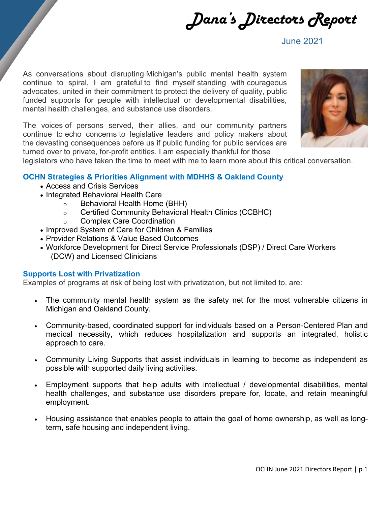Dana's Directors Report

June 2021

As conversations about disrupting Michigan's public mental health system continue to spiral, I am grateful to find myself standing with courageous advocates, united in their commitment to protect the delivery of quality, public funded supports for people with intellectual or developmental disabilities, mental health challenges, and substance use disorders.

The voices of persons served, their allies, and our community partners continue to echo concerns to legislative leaders and policy makers about the devasting consequences before us if public funding for public services are turned over to private, for-profit entities. I am especially thankful for those



legislators who have taken the time to meet with me to learn more about this critical conversation.

# **OCHN Strategies & Priorities Alignment with MDHHS & Oakland County**

- Access and Crisis Services
- Integrated Behavioral Health Care
	- o Behavioral Health Home (BHH)
	- o Certified Community Behavioral Health Clinics (CCBHC)
	- o Complex Care Coordination
- Improved System of Care for Children & Families
- Provider Relations & Value Based Outcomes
- Workforce Development for Direct Service Professionals (DSP) / Direct Care Workers (DCW) and Licensed Clinicians

### **Supports Lost with Privatization**

Examples of programs at risk of being lost with privatization, but not limited to, are:

- The community mental health system as the safety net for the most vulnerable citizens in Michigan and Oakland County.
- Community-based, coordinated support for individuals based on a Person-Centered Plan and medical necessity, which reduces hospitalization and supports an integrated, holistic approach to care.
- Community Living Supports that assist individuals in learning to become as independent as possible with supported daily living activities.
- Employment supports that help adults with intellectual / developmental disabilities, mental health challenges, and substance use disorders prepare for, locate, and retain meaningful employment.
- Housing assistance that enables people to attain the goal of home ownership, as well as longterm, safe housing and independent living.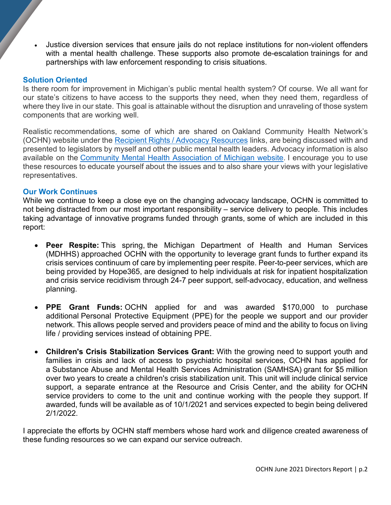• Justice diversion services that ensure jails do not replace institutions for non-violent offenders with a mental health challenge. These supports also promote de-escalation trainings for and partnerships with law enforcement responding to crisis situations.

# **Solution Oriented**

Is there room for improvement in Michigan's public mental health system? Of course. We all want for our state's citizens to have access to the supports they need, when they need them, regardless of where they live in our state. This goal is attainable without the disruption and unraveling of those system components that are working well.

Realistic recommendations, some of which are shared on Oakland Community Health Network's (OCHN) website under the [Recipient Rights / Advocacy](https://www.oaklandchn.org/index.php/rightsandadvocacy/advocacy-resources) Resources links, are being discussed with and presented to legislators by myself and other public mental health leaders. Advocacy information is also available on the [Community Mental Health Association of Michigan website.](https://cmham.org/) I encourage you to use these resources to educate yourself about the issues and to also share your views with your legislative representatives.

# **Our Work Continues**

While we continue to keep a close eye on the changing advocacy landscape, OCHN is committed to not being distracted from our most important responsibility – service delivery to people. This includes taking advantage of innovative programs funded through grants, some of which are included in this report:

- **Peer Respite:** This spring, the Michigan Department of Health and Human Services (MDHHS) approached OCHN with the opportunity to leverage grant funds to further expand its crisis services continuum of care by implementing peer respite. Peer-to-peer services, which are being provided by Hope365, are designed to help individuals at risk for inpatient hospitalization and crisis service recidivism through 24-7 peer support, self-advocacy, education, and wellness planning.
- **PPE Grant Funds:** OCHN applied for and was awarded \$170,000 to purchase additional Personal Protective Equipment (PPE) for the people we support and our provider network. This allows people served and providers peace of mind and the ability to focus on living life / providing services instead of obtaining PPE.
- **Children's Crisis Stabilization Services Grant:** With the growing need to support youth and families in crisis and lack of access to psychiatric hospital services, OCHN has applied for a Substance Abuse and Mental Health Services Administration (SAMHSA) grant for \$5 million over two years to create a children's crisis stabilization unit. This unit will include clinical service support, a separate entrance at the Resource and Crisis Center, and the ability for OCHN service providers to come to the unit and continue working with the people they support. If awarded, funds will be available as of 10/1/2021 and services expected to begin being delivered 2/1/2022.

I appreciate the efforts by OCHN staff members whose hard work and diligence created awareness of these funding resources so we can expand our service outreach.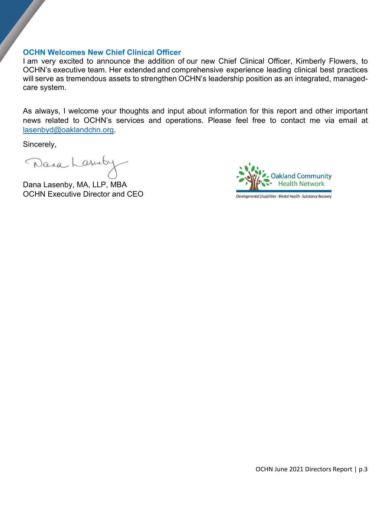# **OCHN Welcomes New Chief Clinical Officer**

I am very excited to announce the addition of our new Chief Clinical Officer, Kimberly Flowers, to OCHN's executive team. Her extended and comprehensive experience leading clinical best practices will serve as tremendous assets to strengthen OCHN's leadership position as an integrated, managedcare system.

As always, I welcome your thoughts and input about information for this report and other important news related to OCHN's services and operations. Please feel free to contact me via email at [lasenbyd@oaklandchn.org.](mailto:lasenbyd@oaklandchn.org)

Sincerely,

Dana Lasenby

Dana Lasenby, MA, LLP, MBA OCHN Executive Director and CEO



Developmental Disabilities - Mental Health - Substance Recovery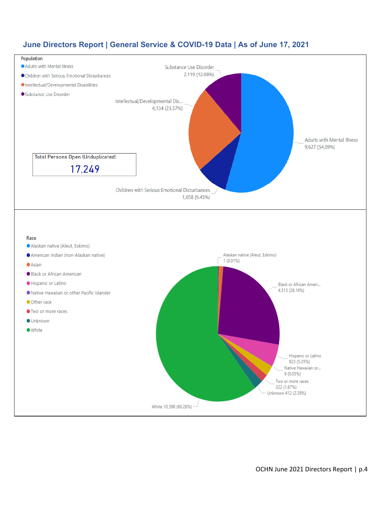

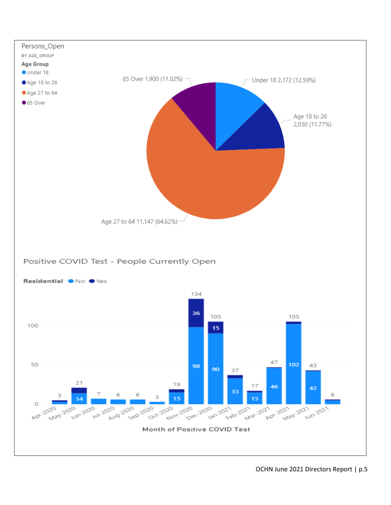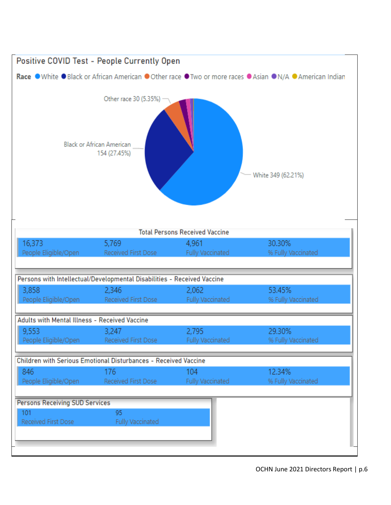